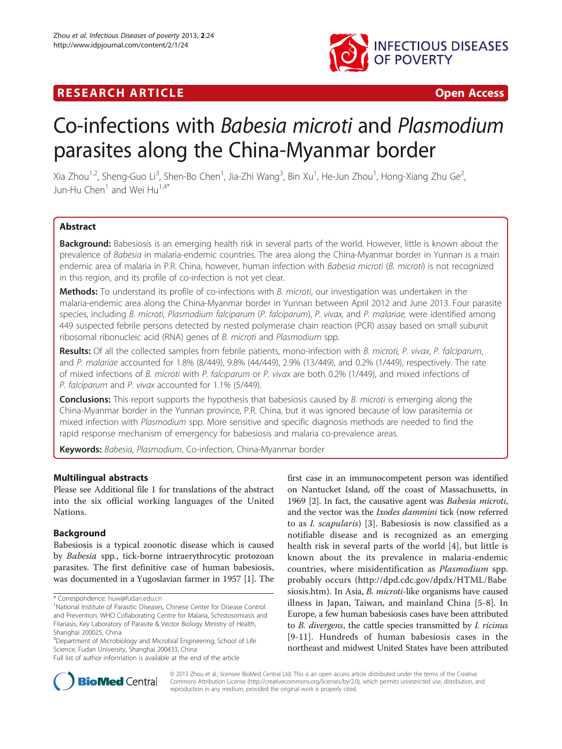

## **RESEARCH ARTICLE EXECUTE: CONSIDERING A RESEARCH ARTICLE**

# Co-infections with Babesia microti and Plasmodium parasites along the China-Myanmar border

Xia Zhou $^{1,2}$ , Sheng-Guo Li $^3$ , Shen-Bo Chen $^1$ , Jia-Zhi Wang $^3$ , Bin Xu $^1$ , He-Jun Zhou $^1$ , Hong-Xiang Zhu Ge $^2$ , Jun-Hu Chen<sup>1</sup> and Wei Hu<sup>1,4\*</sup>

## **Abstract**

Background: Babesiosis is an emerging health risk in several parts of the world. However, little is known about the prevalence of Babesia in malaria-endemic countries. The area along the China-Myanmar border in Yunnan is a main endemic area of malaria in P.R. China, however, human infection with Babesia microti (B. microti) is not recognized in this region, and its profile of co-infection is not yet clear.

Methods: To understand its profile of co-infections with B. microti, our investigation was undertaken in the malaria-endemic area along the China-Myanmar border in Yunnan between April 2012 and June 2013. Four parasite species, including B. microti, Plasmodium falciparum (P. falciparum), P. vivax, and P. malariae, were identified among 449 suspected febrile persons detected by nested polymerase chain reaction (PCR) assay based on small subunit ribosomal ribonucleic acid (RNA) genes of B. microti and Plasmodium spp.

Results: Of all the collected samples from febrile patients, mono-infection with B. microti, P. vivax, P. falciparum, and P. malariae accounted for 1.8% (8/449), 9.8% (44/449), 2.9% (13/449), and 0.2% (1/449), respectively. The rate of mixed infections of B. microti with P. falciparum or P. vivax are both 0.2% (1/449), and mixed infections of P. falciparum and P. vivax accounted for 1.1% (5/449).

**Conclusions:** This report supports the hypothesis that babesiosis caused by B. microti is emerging along the China-Myanmar border in the Yunnan province, P.R. China, but it was ignored because of low parasitemia or mixed infection with Plasmodium spp. More sensitive and specific diagnosis methods are needed to find the rapid response mechanism of emergency for babesiosis and malaria co-prevalence areas.

Keywords: Babesia, Plasmodium, Co-infection, China-Myanmar border

## Multilingual abstracts

Please see Additional file [1](#page-5-0) for translations of the abstract into the six official working languages of the United Nations.

## Background

Babesiosis is a typical zoonotic disease which is caused by Babesia spp., tick-borne intraerythrocytic protozoan parasites. The first definitive case of human babesiosis, was documented in a Yugoslavian farmer in 1957 [[1](#page-5-0)]. The first case in an immunocompetent person was identified on Nantucket Island, off the coast of Massachusetts, in 1969 [\[2](#page-5-0)]. In fact, the causative agent was Babesia microti, and the vector was the Ixodes dammini tick (now referred to as I. scapularis) [[3\]](#page-5-0). Babesiosis is now classified as a notifiable disease and is recognized as an emerging health risk in several parts of the world [[4\]](#page-5-0), but little is known about the its prevalence in malaria-endemic countries, where misidentification as Plasmodium spp. probably occurs [\(http://dpd.cdc.gov/dpdx/HTML/Babe](http://dpd.cdc.gov/dpdx/HTML/Babesiosis.htm) [siosis.htm](http://dpd.cdc.gov/dpdx/HTML/Babesiosis.htm)). In Asia, *B. microti-like organisms* have caused illness in Japan, Taiwan, and mainland China [\[5](#page-5-0)[-8](#page-6-0)]. In Europe, a few human babesiosis cases have been attributed to B. divergens, the cattle species transmitted by I. ricinus [[9-11\]](#page-6-0). Hundreds of human babesiosis cases in the northeast and midwest United States have been attributed



© 2013 Zhou et al.; licensee BioMed Central Ltd. This is an open access article distributed under the terms of the Creative Commons Attribution License [\(http://creativecommons.org/licenses/by/2.0\)](http://creativecommons.org/licenses/by/2.0), which permits unrestricted use, distribution, and reproduction in any medium, provided the original work is properly cited.

<sup>\*</sup> Correspondence: [huw@fudan.edu.cn](mailto:huw@fudan.edu.cn) <sup>1</sup>

<sup>&</sup>lt;sup>1</sup>National Institute of Parasitic Diseases, Chinese Center for Disease Control and Prevention, WHO Collaborating Centre for Malaria, Schistosomiasis and Filariasis, Key Laboratory of Parasite & Vector Biology Ministry of Health, Shanghai 200025, China

<sup>4</sup> Department of Microbiology and Microbial Engineering, School of Life Science, Fudan University, Shanghai 200433, China

Full list of author information is available at the end of the article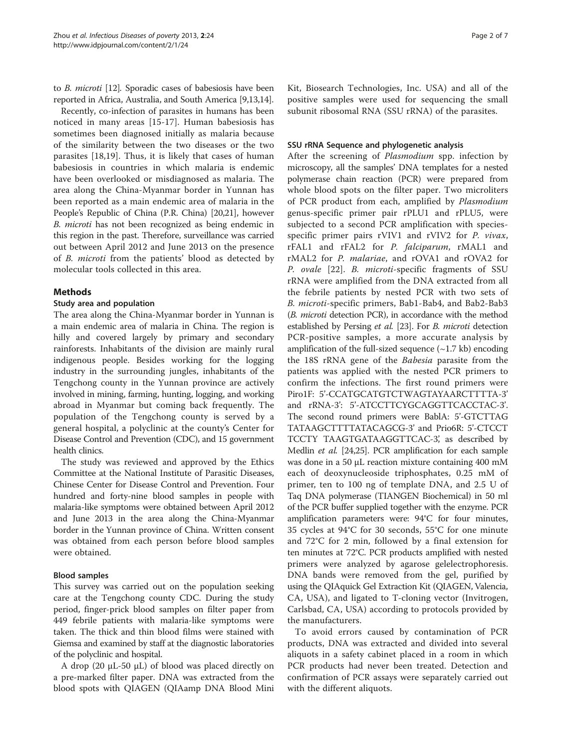to B. microti [[12](#page-6-0)]. Sporadic cases of babesiosis have been reported in Africa, Australia, and South America [[9,13,14\]](#page-6-0).

Recently, co-infection of parasites in humans has been noticed in many areas [[15](#page-6-0)-[17\]](#page-6-0). Human babesiosis has sometimes been diagnosed initially as malaria because of the similarity between the two diseases or the two parasites [[18,19](#page-6-0)]. Thus, it is likely that cases of human babesiosis in countries in which malaria is endemic have been overlooked or misdiagnosed as malaria. The area along the China-Myanmar border in Yunnan has been reported as a main endemic area of malaria in the People's Republic of China (P.R. China) [\[20,21\]](#page-6-0), however B. microti has not been recognized as being endemic in this region in the past. Therefore, surveillance was carried out between April 2012 and June 2013 on the presence of B. microti from the patients' blood as detected by molecular tools collected in this area.

## Methods

## Study area and population

The area along the China-Myanmar border in Yunnan is a main endemic area of malaria in China. The region is hilly and covered largely by primary and secondary rainforests. Inhabitants of the division are mainly rural indigenous people. Besides working for the logging industry in the surrounding jungles, inhabitants of the Tengchong county in the Yunnan province are actively involved in mining, farming, hunting, logging, and working abroad in Myanmar but coming back frequently. The population of the Tengchong county is served by a general hospital, a polyclinic at the county's Center for Disease Control and Prevention (CDC), and 15 government health clinics.

The study was reviewed and approved by the Ethics Committee at the National Institute of Parasitic Diseases, Chinese Center for Disease Control and Prevention. Four hundred and forty-nine blood samples in people with malaria-like symptoms were obtained between April 2012 and June 2013 in the area along the China-Myanmar border in the Yunnan province of China. Written consent was obtained from each person before blood samples were obtained.

## Blood samples

This survey was carried out on the population seeking care at the Tengchong county CDC. During the study period, finger-prick blood samples on filter paper from 449 febrile patients with malaria-like symptoms were taken. The thick and thin blood films were stained with Giemsa and examined by staff at the diagnostic laboratories of the polyclinic and hospital.

A drop (20 μL-50 μL) of blood was placed directly on a pre-marked filter paper. DNA was extracted from the blood spots with QIAGEN (QIAamp DNA Blood Mini

Kit, Biosearch Technologies, Inc. USA) and all of the positive samples were used for sequencing the small subunit ribosomal RNA (SSU rRNA) of the parasites.

## SSU rRNA Sequence and phylogenetic analysis

After the screening of *Plasmodium* spp. infection by microscopy, all the samples' DNA templates for a nested polymerase chain reaction (PCR) were prepared from whole blood spots on the filter paper. Two microliters of PCR product from each, amplified by Plasmodium genus-specific primer pair rPLU1 and rPLU5, were subjected to a second PCR amplification with speciesspecific primer pairs rVIV1 and rVIV2 for P. vivax, rFAL1 and rFAL2 for P. falciparum, rMAL1 and rMAL2 for P. malariae, and rOVA1 and rOVA2 for P. ovale [[22\]](#page-6-0). B. microti-specific fragments of SSU rRNA were amplified from the DNA extracted from all the febrile patients by nested PCR with two sets of B. microti-specific primers, Bab1-Bab4, and Bab2-Bab3 (B. microti detection PCR), in accordance with the method established by Persing et al. [[23](#page-6-0)]. For B. microti detection PCR-positive samples, a more accurate analysis by amplification of the full-sized sequence  $(\sim 1.7 \text{ kb})$  encoding the 18S rRNA gene of the Babesia parasite from the patients was applied with the nested PCR primers to confirm the infections. The first round primers were Piro1F: 5'-CCATGCATGTCTWAGTAYAARCTTTTA-3' and rRNA-3': 5'-ATCCTTCYGCAGGTTCACCTAC-3'. The second round primers were BablA: 5'-GTCTTAG TATAAGCTTTTATACAGCG-3' and Prio6R: 5'-CTCCT TCCTY TAAGTGATAAGGTTCAC-3', as described by Medlin et al. [\[24,25](#page-6-0)]. PCR amplification for each sample was done in a 50 μL reaction mixture containing 400 mM each of deoxynucleoside triphosphates, 0.25 mM of primer, ten to 100 ng of template DNA, and 2.5 U of Taq DNA polymerase (TIANGEN Biochemical) in 50 ml of the PCR buffer supplied together with the enzyme. PCR amplification parameters were: 94°C for four minutes, 35 cycles at 94°C for 30 seconds, 55°C for one minute and 72°C for 2 min, followed by a final extension for ten minutes at 72°C. PCR products amplified with nested primers were analyzed by agarose gelelectrophoresis. DNA bands were removed from the gel, purified by using the QIAquick Gel Extraction Kit (QIAGEN, Valencia, CA, USA), and ligated to T-cloning vector (Invitrogen, Carlsbad, CA, USA) according to protocols provided by the manufacturers.

To avoid errors caused by contamination of PCR products, DNA was extracted and divided into several aliquots in a safety cabinet placed in a room in which PCR products had never been treated. Detection and confirmation of PCR assays were separately carried out with the different aliquots.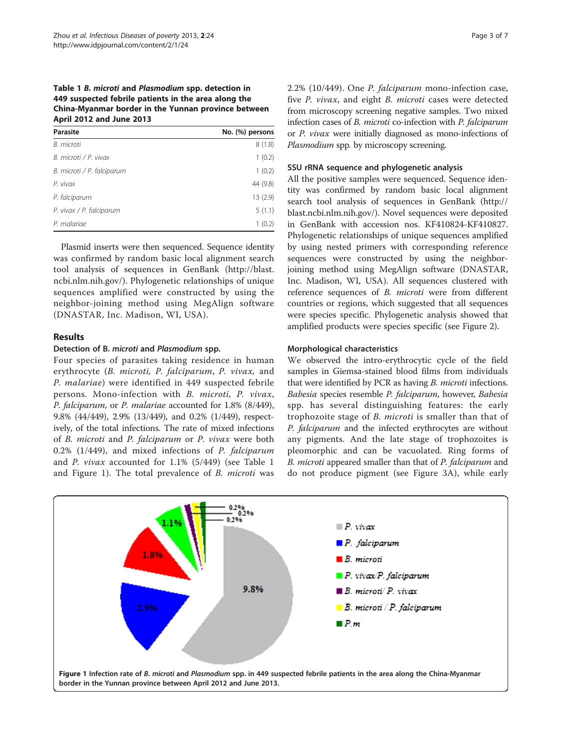## Table 1 B. microti and Plasmodium spp. detection in 449 suspected febrile patients in the area along the China-Myanmar border in the Yunnan province between April 2012 and June 2013

| Parasite                   | No. (%) persons |
|----------------------------|-----------------|
| B. microti                 | 8(1.8)          |
| B. microti / P. vivax      | 1(0.2)          |
| B. microti / P. falciparum | 1(0.2)          |
| P. vivax                   | 44 (9.8)        |
| P. falciparum              | 13(2.9)         |
| P. vivax / P. falciparum   | 5(1.1)          |
| P. malariae                | 1(0.2)          |

Plasmid inserts were then sequenced. Sequence identity was confirmed by random basic local alignment search tool analysis of sequences in GenBank ([http://blast.](http://blast.ncbi.nlm.nih.gov/) [ncbi.nlm.nih.gov/\)](http://blast.ncbi.nlm.nih.gov/). Phylogenetic relationships of unique sequences amplified were constructed by using the neighbor-joining method using MegAlign software (DNASTAR, Inc. Madison, WI, USA).

## Results

## Detection of B. microti and Plasmodium spp.

Four species of parasites taking residence in human erythrocyte (B. microti, P. falciparum, P. vivax, and P. malariae) were identified in 449 suspected febrile persons. Mono-infection with B. microti, P. vivax, P. falciparum, or P. malariae accounted for 1.8% (8/449), 9.8% (44/449), 2.9% (13/449), and 0.2% (1/449), respectively, of the total infections. The rate of mixed infections of B. microti and P. falciparum or P. vivax were both 0.2% (1/449), and mixed infections of P. falciparum and P. vivax accounted for 1.1% (5/449) (see Table 1 and Figure 1). The total prevalence of B. microti was 2.2% (10/449). One P. falciparum mono-infection case, five P. vivax, and eight B. microti cases were detected from microscopy screening negative samples. Two mixed infection cases of B. microti co-infection with P. falciparum or P. vivax were initially diagnosed as mono-infections of Plasmodium spp. by microscopy screening.

## SSU rRNA sequence and phylogenetic analysis

All the positive samples were sequenced. Sequence identity was confirmed by random basic local alignment search tool analysis of sequences in GenBank [\(http://](http://blast.ncbi.nlm.nih.gov/) [blast.ncbi.nlm.nih.gov/](http://blast.ncbi.nlm.nih.gov/)). Novel sequences were deposited in GenBank with accession nos. KF410824-KF410827. Phylogenetic relationships of unique sequences amplified by using nested primers with corresponding reference sequences were constructed by using the neighborjoining method using MegAlign software (DNASTAR, Inc. Madison, WI, USA). All sequences clustered with reference sequences of B. microti were from different countries or regions, which suggested that all sequences were species specific. Phylogenetic analysis showed that amplified products were species specific (see Figure [2\)](#page-3-0).

## Morphological characteristics

We observed the intro-erythrocytic cycle of the field samples in Giemsa-stained blood films from individuals that were identified by PCR as having B. microti infections. Babesia species resemble P. falciparum, however, Babesia spp. has several distinguishing features: the early trophozoite stage of B. microti is smaller than that of P. falciparum and the infected erythrocytes are without any pigments. And the late stage of trophozoites is pleomorphic and can be vacuolated. Ring forms of B. microti appeared smaller than that of P. falciparum and do not produce pigment (see Figure [3](#page-3-0)A), while early

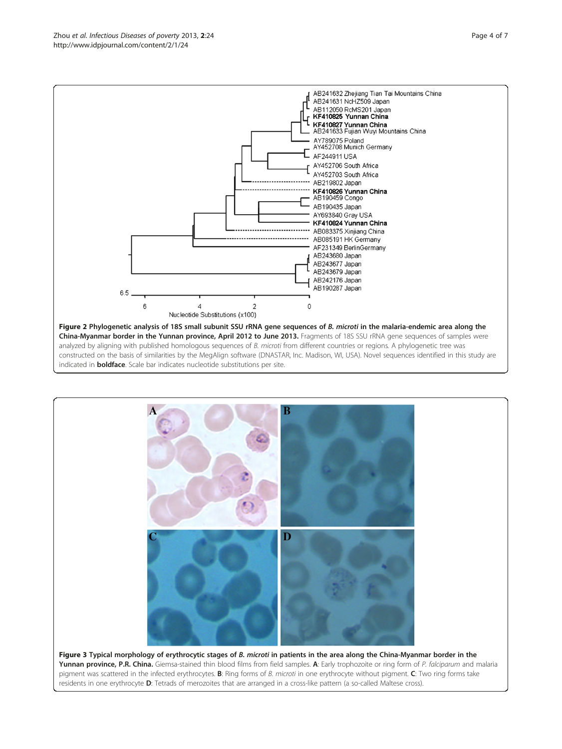

<span id="page-3-0"></span>

analyzed by aligning with published homologous sequences of B. microti from different countries or regions. A phylogenetic tree was constructed on the basis of similarities by the MegAlign software (DNASTAR, Inc. Madison, WI, USA). Novel sequences identified in this study are indicated in **boldface**. Scale bar indicates nucleotide substitutions per site.



pigment was scattered in the infected erythrocytes. B: Ring forms of B. microti in one erythrocyte without pigment. C: Two ring forms take residents in one erythrocyte D: Tetrads of merozoites that are arranged in a cross-like pattern (a so-called Maltese cross).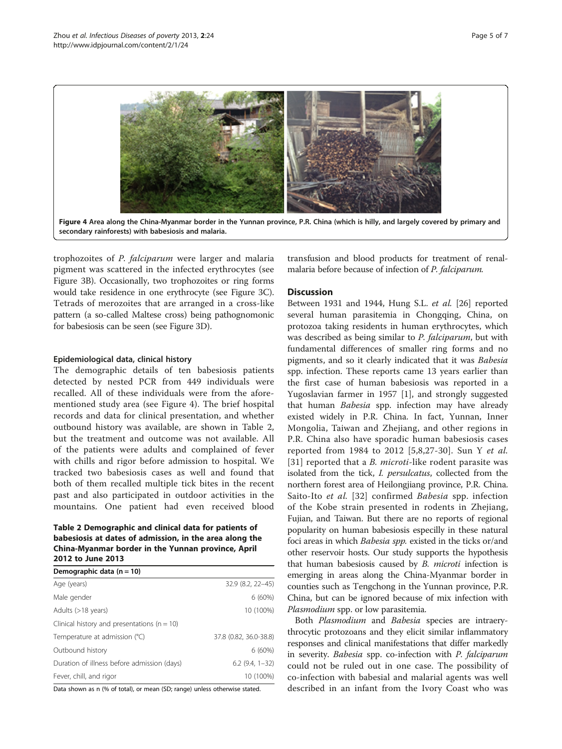

trophozoites of P. falciparum were larger and malaria pigment was scattered in the infected erythrocytes (see Figure [3B](#page-3-0)). Occasionally, two trophozoites or ring forms would take residence in one erythrocyte (see Figure [3C](#page-3-0)). Tetrads of merozoites that are arranged in a cross-like pattern (a so-called Maltese cross) being pathognomonic for babesiosis can be seen (see Figure [3](#page-3-0)D).

#### Epidemiological data, clinical history

The demographic details of ten babesiosis patients detected by nested PCR from 449 individuals were recalled. All of these individuals were from the aforementioned study area (see Figure 4). The brief hospital records and data for clinical presentation, and whether outbound history was available, are shown in Table 2, but the treatment and outcome was not available. All of the patients were adults and complained of fever with chills and rigor before admission to hospital. We tracked two babesiosis cases as well and found that both of them recalled multiple tick bites in the recent past and also participated in outdoor activities in the mountains. One patient had even received blood

## Table 2 Demographic and clinical data for patients of babesiosis at dates of admission, in the area along the China-Myanmar border in the Yunnan province, April 2012 to June 2013

| Demographic data $(n = 10)$                     |                        |
|-------------------------------------------------|------------------------|
| Age (years)                                     | 32.9 (8.2, 22-45)      |
| Male gender                                     | $6(60\%)$              |
| Adults (>18 years)                              | 10 (100%)              |
| Clinical history and presentations ( $n = 10$ ) |                        |
| Temperature at admission (°C)                   | 37.8 (0.82, 36.0-38.8) |
| Outbound history                                | $6(60\%)$              |
| Duration of illness before admission (days)     | $6.2(9.4, 1-32)$       |
| Fever, chill, and rigor                         | 10 (100%)              |

Data shown as n (% of total), or mean (SD; range) unless otherwise stated.

transfusion and blood products for treatment of renalmalaria before because of infection of P. falciparum.

#### **Discussion**

Between 1931 and 1944, Hung S.L. et al. [[26](#page-6-0)] reported several human parasitemia in Chongqing, China, on protozoa taking residents in human erythrocytes, which was described as being similar to P. falciparum, but with fundamental differences of smaller ring forms and no pigments, and so it clearly indicated that it was Babesia spp. infection. These reports came 13 years earlier than the first case of human babesiosis was reported in a Yugoslavian farmer in 1957 [\[1](#page-5-0)], and strongly suggested that human Babesia spp. infection may have already existed widely in P.R. China. In fact, Yunnan, Inner Mongolia, Taiwan and Zhejiang, and other regions in P.R. China also have sporadic human babesiosis cases reported from 1984 to 2012 [[5,](#page-5-0)[8](#page-6-0),[27-30\]](#page-6-0). Sun Y et al. [[31](#page-6-0)] reported that a *B. microti-like rodent parasite was* isolated from the tick, I. persulcatus, collected from the northern forest area of Heilongjiang province, P.R. China. Saito-Ito *et al.* [\[32\]](#page-6-0) confirmed *Babesia* spp. infection of the Kobe strain presented in rodents in Zhejiang, Fujian, and Taiwan. But there are no reports of regional popularity on human babesiosis especilly in these natural foci areas in which Babesia spp. existed in the ticks or/and other reservoir hosts. Our study supports the hypothesis that human babesiosis caused by *B. microti* infection is emerging in areas along the China-Myanmar border in counties such as Tengchong in the Yunnan province, P.R. China, but can be ignored because of mix infection with Plasmodium spp. or low parasitemia.

Both Plasmodium and Babesia species are intraerythrocytic protozoans and they elicit similar inflammatory responses and clinical manifestations that differ markedly in severity. Babesia spp. co-infection with P. falciparum could not be ruled out in one case. The possibility of co-infection with babesial and malarial agents was well described in an infant from the Ivory Coast who was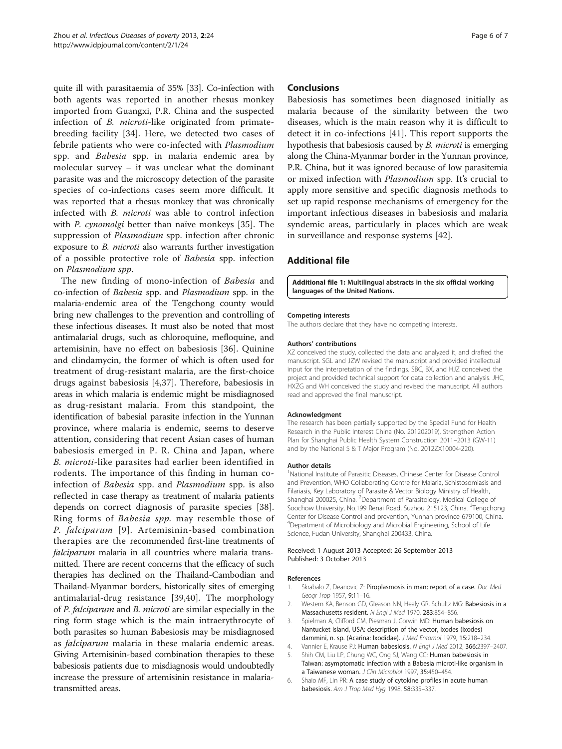<span id="page-5-0"></span>quite ill with parasitaemia of 35% [[33](#page-6-0)]. Co-infection with both agents was reported in another rhesus monkey imported from Guangxi, P.R. China and the suspected infection of B. microti-like originated from primatebreeding facility [\[34](#page-6-0)]. Here, we detected two cases of febrile patients who were co-infected with Plasmodium spp. and Babesia spp. in malaria endemic area by molecular survey – it was unclear what the dominant parasite was and the microscopy detection of the parasite species of co-infections cases seem more difficult. It was reported that a rhesus monkey that was chronically infected with B. microti was able to control infection with P. cynomolgi better than naïve monkeys [[35](#page-6-0)]. The suppression of *Plasmodium* spp. infection after chronic exposure to B. microti also warrants further investigation of a possible protective role of Babesia spp. infection on Plasmodium spp.

The new finding of mono-infection of Babesia and co-infection of Babesia spp. and Plasmodium spp. in the malaria-endemic area of the Tengchong county would bring new challenges to the prevention and controlling of these infectious diseases. It must also be noted that most antimalarial drugs, such as chloroquine, mefloquine, and artemisinin, have no effect on babesiosis [\[36](#page-6-0)]. Quinine and clindamycin, the former of which is often used for treatment of drug-resistant malaria, are the first-choice drugs against babesiosis [4[,37](#page-6-0)]. Therefore, babesiosis in areas in which malaria is endemic might be misdiagnosed as drug-resistant malaria. From this standpoint, the identification of babesial parasite infection in the Yunnan province, where malaria is endemic, seems to deserve attention, considering that recent Asian cases of human babesiosis emerged in P. R. China and Japan, where B. microti-like parasites had earlier been identified in rodents. The importance of this finding in human coinfection of Babesia spp. and Plasmodium spp. is also reflected in case therapy as treatment of malaria patients depends on correct diagnosis of parasite species [[38](#page-6-0)]. Ring forms of Babesia spp. may resemble those of P. falciparum [[9](#page-6-0)]. Artemisinin-based combination therapies are the recommended first-line treatments of falciparum malaria in all countries where malaria transmitted. There are recent concerns that the efficacy of such therapies has declined on the Thailand-Cambodian and Thailand-Myanmar borders, historically sites of emerging antimalarial-drug resistance [[39,40](#page-6-0)]. The morphology of P. falciparum and B. microti are similar especially in the ring form stage which is the main intraerythrocyte of both parasites so human Babesiosis may be misdiagnosed as falciparum malaria in these malaria endemic areas. Giving Artemisinin-based combination therapies to these babesiosis patients due to misdiagnosis would undoubtedly increase the pressure of artemisinin resistance in malariatransmitted areas.

## Conclusions

Babesiosis has sometimes been diagnosed initially as malaria because of the similarity between the two diseases, which is the main reason why it is difficult to detect it in co-infections [[41\]](#page-6-0). This report supports the hypothesis that babesiosis caused by B. microti is emerging along the China-Myanmar border in the Yunnan province, P.R. China, but it was ignored because of low parasitemia or mixed infection with *Plasmodium* spp. It's crucial to apply more sensitive and specific diagnosis methods to set up rapid response mechanisms of emergency for the important infectious diseases in babesiosis and malaria syndemic areas, particularly in places which are weak in surveillance and response systems [\[42](#page-6-0)].

## Additional file

[Additional file 1:](http://www.biomedcentral.com/content/supplementary/2049-9957-2-24-S1.pdf) Multilingual abstracts in the six official working languages of the United Nations.

#### Competing interests

The authors declare that they have no competing interests.

#### Authors' contributions

XZ conceived the study, collected the data and analyzed it, and drafted the manuscript. SGL and JZW revised the manuscript and provided intellectual input for the interpretation of the findings. SBC, BX, and HJZ conceived the project and provided technical support for data collection and analysis. JHC, HXZG and WH conceived the study and revised the manuscript. All authors read and approved the final manuscript.

#### Acknowledgment

The research has been partially supported by the Special Fund for Health Research in the Public Interest China (No. 201202019), Strengthen Action Plan for Shanghai Public Health System Construction 2011–2013 (GW-11) and by the National S & T Major Program (No. 2012ZX10004-220).

#### Author details

<sup>1</sup>National Institute of Parasitic Diseases, Chinese Center for Disease Control and Prevention, WHO Collaborating Centre for Malaria, Schistosomiasis and Filariasis, Key Laboratory of Parasite & Vector Biology Ministry of Health, Shanghai 200025, China. <sup>2</sup>Department of Parasitology, Medical College of Soochow University, No.199 Renai Road, Suzhou 215123, China. <sup>3</sup>Tengchong Center for Disease Control and prevention, Yunnan province 679100, China. 4 Department of Microbiology and Microbial Engineering, School of Life Science, Fudan University, Shanghai 200433, China.

#### Received: 1 August 2013 Accepted: 26 September 2013 Published: 3 October 2013

#### References

- Skrabalo Z, Deanovic Z: Piroplasmosis in man; report of a case. Doc Med Geogr Trop 1957, 9:11-16.
- 2. Western KA, Benson GD, Gleason NN, Healy GR, Schultz MG: Babesiosis in a Massachusetts resident. N Engl J Med 1970, 283:854–856.
- Spielman A, Clifford CM, Piesman J, Corwin MD: Human babesiosis on Nantucket Island, USA: description of the vector, Ixodes (Ixodes) dammini, n. sp. (Acarina: Ixodidae). J Med Entomol 1979, 15:218–234.
- 4. Vannier E, Krause PJ: Human babesiosis. N Engl J Med 2012, 366:2397-2407.
- 5. Shih CM, Liu LP, Chung WC, Ong SJ, Wang CC: Human babesiosis in Taiwan: asymptomatic infection with a Babesia microti-like organism in a Taiwanese woman. J Clin Microbiol 1997, 35:450–454.
- 6. Shaio MF, Lin PR: A case study of cytokine profiles in acute human babesiosis. Am J Trop Med Hyg 1998, 58:335–337.